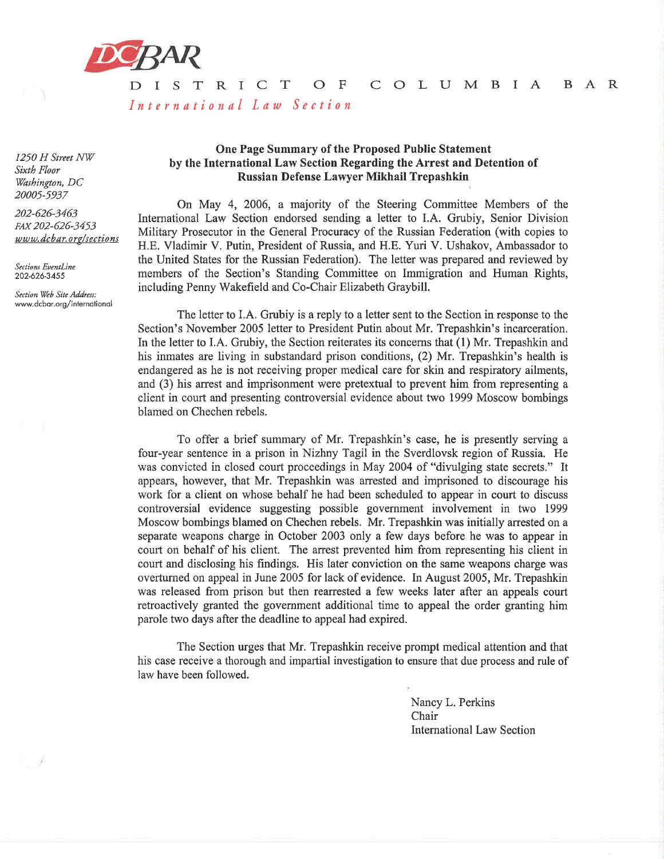

 $D I S$  $\top$ R I C T  $O$  F C O L U M B I A B A R International Law Section

1250 H Street NW Sixth Floor Washington, DC 20005-5937

202-626-3463 FAX 202-626-3453 www.dcbar.org/sections

Sections EventLine 202-626-3455

Section Web Site Address: www.dcbar.org/international

## One Page Summary of the Proposed Public Statement by the International Law Section Regarding the Arrest and Detention of Russian Defense Lawyer Mikhail Trepashkin

On May 4, 2006, a majority of the Steering Committee Members of the International Law Section endorsed sending a letter to I.A. Grubiy, Senior Division Military Prosecutor in the General Procuracy of the Russian Federation (with copies to H.E. Vladimir V. Putin, President of Russia, and H.E. Yuri V. Ushakov, Ambassador to the United States for the Russian Federation). The letter was prepared and reviewed by members of the Section's Standing Committee on Immigration and Human Rights, including Penny Wakefield and Co-Chair Elizabeth Graybill.

The letter to I.A. Grubiy is a reply to a letter sent to the Section in response to the Section's November 2005 letter to President Putin about Mr. Trepashkin's incarceration. In the letter to I.A. Grubiy, the Section reiterates its concerns that (1) Mr. Trepashkin and his inmates are living in substandard prison conditions, (2) Mr. Trepashkin's health is endangered as he is not receiving proper medical care for skin and respiratory ailments, and (3) his arrest and imprisonment were pretextual to prevent him from representing a client in court and presenting controversial evidence about two 1999 Moscow bombings blamed on Chechen rebels.

To offer a brief summary of Mr. Trepashkin's case, he is presently serving a four-year sentence in a prison in Nizhny Tagil in the Sverdlovsk region of Russia. He was convicted in closed court proceedings in May 2004 of "divulging state secrets." It appears, however, that Mr. Trepashkin was arrested and imprisoned to discourage his work for a client on whose behalf he had been scheduled to appear in court to discuss controversial evidence suggesting possible government involvement in two 1999 Moscow bombings blamed on Chechen rebels. Mr. Trepashkin was initially arrested on a separate weapons charge in October 2003 only a few days before he was to appear in court on behalf of his client. The arrest prevented him from representing his client in court and disclosing his findings. His later conviction on the same weapons charge was overturned on appeal in June 2005 for lack of evidence. In August 2005, Mr. Trepashkin was released from prison but then rearrested a few weeks later after an appeals court retroactively granted the government additional time to appeal the order granting him parole two days after the deadline to appeal had expired.

The Section urges that Mr. Trepashkin receive prompt medical attention and that his case receive a thorough and impartial investigation to ensure that due process and rule of law have been followed.

> Nancy L. Perkins Chair **International Law Section**